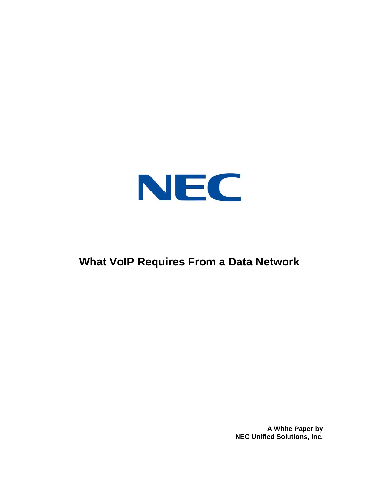

# **What VoIP Requires From a Data Network**

**A White Paper by NEC Unified Solutions, Inc.**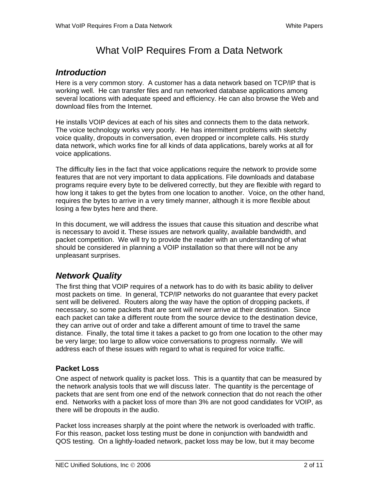## What VoIP Requires From a Data Network

### *Introduction*

Here is a very common story. A customer has a data network based on TCP/IP that is working well. He can transfer files and run networked database applications among several locations with adequate speed and efficiency. He can also browse the Web and download files from the Internet.

He installs VOIP devices at each of his sites and connects them to the data network. The voice technology works very poorly. He has intermittent problems with sketchy voice quality, dropouts in conversation, even dropped or incomplete calls. His sturdy data network, which works fine for all kinds of data applications, barely works at all for voice applications.

The difficulty lies in the fact that voice applications require the network to provide some features that are not very important to data applications. File downloads and database programs require every byte to be delivered correctly, but they are flexible with regard to how long it takes to get the bytes from one location to another. Voice, on the other hand, requires the bytes to arrive in a very timely manner, although it is more flexible about losing a few bytes here and there.

In this document, we will address the issues that cause this situation and describe what is necessary to avoid it. These issues are network quality, available bandwidth, and packet competition. We will try to provide the reader with an understanding of what should be considered in planning a VOIP installation so that there will not be any unpleasant surprises.

## *Network Quality*

The first thing that VOIP requires of a network has to do with its basic ability to deliver most packets on time. In general, TCP/IP networks do not guarantee that every packet sent will be delivered. Routers along the way have the option of dropping packets, if necessary, so some packets that are sent will never arrive at their destination. Since each packet can take a different route from the source device to the destination device, they can arrive out of order and take a different amount of time to travel the same distance. Finally, the total time it takes a packet to go from one location to the other may be very large; too large to allow voice conversations to progress normally. We will address each of these issues with regard to what is required for voice traffic.

#### **Packet Loss**

One aspect of network quality is packet loss. This is a quantity that can be measured by the network analysis tools that we will discuss later. The quantity is the percentage of packets that are sent from one end of the network connection that do not reach the other end. Networks with a packet loss of more than 3% are not good candidates for VOIP, as there will be dropouts in the audio.

Packet loss increases sharply at the point where the network is overloaded with traffic. For this reason, packet loss testing must be done in conjunction with bandwidth and QOS testing. On a lightly-loaded network, packet loss may be low, but it may become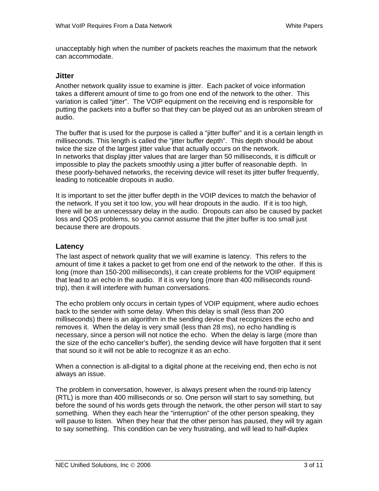unacceptably high when the number of packets reaches the maximum that the network can accommodate.

#### **Jitter**

Another network quality issue to examine is jitter. Each packet of voice information takes a different amount of time to go from one end of the network to the other. This variation is called "jitter". The VOIP equipment on the receiving end is responsible for putting the packets into a buffer so that they can be played out as an unbroken stream of audio.

The buffer that is used for the purpose is called a "jitter buffer" and it is a certain length in milliseconds. This length is called the "jitter buffer depth". This depth should be about twice the size of the largest jitter value that actually occurs on the network. In networks that display jitter values that are larger than 50 milliseconds, it is difficult or impossible to play the packets smoothly using a jitter buffer of reasonable depth. In these poorly-behaved networks, the receiving device will reset its jitter buffer frequently, leading to noticeable dropouts in audio.

It is important to set the jitter buffer depth in the VOIP devices to match the behavior of the network. If you set it too low, you will hear dropouts in the audio. If it is too high, there will be an unnecessary delay in the audio. Dropouts can also be caused by packet loss and QOS problems, so you cannot assume that the jitter buffer is too small just because there are dropouts.

#### **Latency**

The last aspect of network quality that we will examine is latency. This refers to the amount of time it takes a packet to get from one end of the network to the other. If this is long (more than 150-200 milliseconds), it can create problems for the VOIP equipment that lead to an echo in the audio. If it is very long (more than 400 milliseconds roundtrip), then it will interfere with human conversations.

The echo problem only occurs in certain types of VOIP equipment, where audio echoes back to the sender with some delay. When this delay is small (less than 200 milliseconds) there is an algorithm in the sending device that recognizes the echo and removes it. When the delay is very small (less than 28 ms), no echo handling is necessary, since a person will not notice the echo. When the delay is large (more than the size of the echo canceller's buffer), the sending device will have forgotten that it sent that sound so it will not be able to recognize it as an echo.

When a connection is all-digital to a digital phone at the receiving end, then echo is not always an issue.

The problem in conversation, however, is always present when the round-trip latency (RTL) is more than 400 milliseconds or so. One person will start to say something, but before the sound of his words gets through the network, the other person will start to say something. When they each hear the "interruption" of the other person speaking, they will pause to listen. When they hear that the other person has paused, they will try again to say something. This condition can be very frustrating, and will lead to half-duplex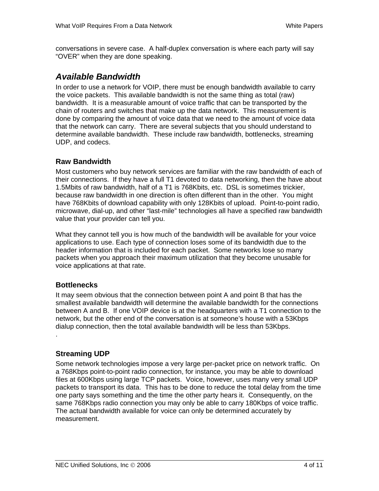conversations in severe case. A half-duplex conversation is where each party will say "OVER" when they are done speaking.

## *Available Bandwidth*

In order to use a network for VOIP, there must be enough bandwidth available to carry the voice packets. This available bandwidth is not the same thing as total (raw) bandwidth. It is a measurable amount of voice traffic that can be transported by the chain of routers and switches that make up the data network. This measurement is done by comparing the amount of voice data that we need to the amount of voice data that the network can carry. There are several subjects that you should understand to determine available bandwidth. These include raw bandwidth, bottlenecks, streaming UDP, and codecs.

#### **Raw Bandwidth**

Most customers who buy network services are familiar with the raw bandwidth of each of their connections. If they have a full T1 devoted to data networking, then the have about 1.5Mbits of raw bandwidth, half of a T1 is 768Kbits, etc. DSL is sometimes trickier, because raw bandwidth in one direction is often different than in the other. You might have 768Kbits of download capability with only 128Kbits of upload. Point-to-point radio, microwave, dial-up, and other "last-mile" technologies all have a specified raw bandwidth value that your provider can tell you.

What they cannot tell you is how much of the bandwidth will be available for your voice applications to use. Each type of connection loses some of its bandwidth due to the header information that is included for each packet. Some networks lose so many packets when you approach their maximum utilization that they become unusable for voice applications at that rate.

#### **Bottlenecks**

It may seem obvious that the connection between point A and point B that has the smallest available bandwidth will determine the available bandwidth for the connections between A and B. If one VOIP device is at the headquarters with a T1 connection to the network, but the other end of the conversation is at someone's house with a 53Kbps dialup connection, then the total available bandwidth will be less than 53Kbps. .

#### **Streaming UDP**

Some network technologies impose a very large per-packet price on network traffic. On a 768Kbps point-to-point radio connection, for instance, you may be able to download files at 600Kbps using large TCP packets. Voice, however, uses many very small UDP packets to transport its data. This has to be done to reduce the total delay from the time one party says something and the time the other party hears it. Consequently, on the same 768Kbps radio connection you may only be able to carry 180Kbps of voice traffic. The actual bandwidth available for voice can only be determined accurately by measurement.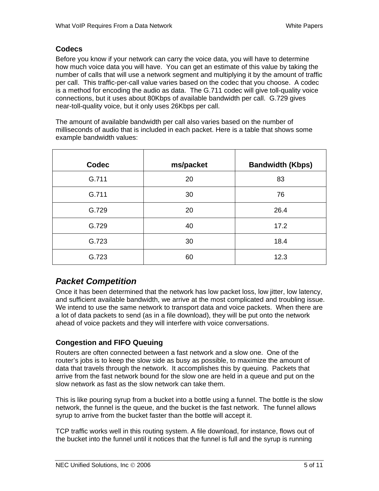#### **Codecs**

Before you know if your network can carry the voice data, you will have to determine how much voice data you will have. You can get an estimate of this value by taking the number of calls that will use a network segment and multiplying it by the amount of traffic per call. This traffic-per-call value varies based on the codec that you choose. A codec is a method for encoding the audio as data. The G.711 codec will give toll-quality voice connections, but it uses about 80Kbps of available bandwidth per call. G.729 gives near-toll-quality voice, but it only uses 26Kbps per call.

The amount of available bandwidth per call also varies based on the number of milliseconds of audio that is included in each packet. Here is a table that shows some example bandwidth values:

| <b>Codec</b> | ms/packet | <b>Bandwidth (Kbps)</b> |
|--------------|-----------|-------------------------|
| G.711        | 20        | 83                      |
| G.711        | 30        | 76                      |
| G.729        | 20        | 26.4                    |
| G.729        | 40        | 17.2                    |
| G.723        | 30        | 18.4                    |
| G.723        | 60        | 12.3                    |

## *Packet Competition*

Once it has been determined that the network has low packet loss, low jitter, low latency, and sufficient available bandwidth, we arrive at the most complicated and troubling issue. We intend to use the same network to transport data and voice packets. When there are a lot of data packets to send (as in a file download), they will be put onto the network ahead of voice packets and they will interfere with voice conversations.

#### **Congestion and FIFO Queuing**

Routers are often connected between a fast network and a slow one. One of the router's jobs is to keep the slow side as busy as possible, to maximize the amount of data that travels through the network. It accomplishes this by queuing. Packets that arrive from the fast network bound for the slow one are held in a queue and put on the slow network as fast as the slow network can take them.

This is like pouring syrup from a bucket into a bottle using a funnel. The bottle is the slow network, the funnel is the queue, and the bucket is the fast network. The funnel allows syrup to arrive from the bucket faster than the bottle will accept it.

TCP traffic works well in this routing system. A file download, for instance, flows out of the bucket into the funnel until it notices that the funnel is full and the syrup is running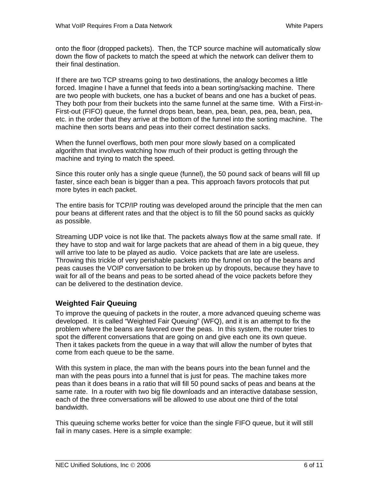onto the floor (dropped packets). Then, the TCP source machine will automatically slow down the flow of packets to match the speed at which the network can deliver them to their final destination.

If there are two TCP streams going to two destinations, the analogy becomes a little forced. Imagine I have a funnel that feeds into a bean sorting/sacking machine. There are two people with buckets, one has a bucket of beans and one has a bucket of peas. They both pour from their buckets into the same funnel at the same time. With a First-in-First-out (FIFO) queue, the funnel drops bean, bean, pea, bean, pea, pea, bean, pea, etc. in the order that they arrive at the bottom of the funnel into the sorting machine. The machine then sorts beans and peas into their correct destination sacks.

When the funnel overflows, both men pour more slowly based on a complicated algorithm that involves watching how much of their product is getting through the machine and trying to match the speed.

Since this router only has a single queue (funnel), the 50 pound sack of beans will fill up faster, since each bean is bigger than a pea. This approach favors protocols that put more bytes in each packet.

The entire basis for TCP/IP routing was developed around the principle that the men can pour beans at different rates and that the object is to fill the 50 pound sacks as quickly as possible.

Streaming UDP voice is not like that. The packets always flow at the same small rate. If they have to stop and wait for large packets that are ahead of them in a big queue, they will arrive too late to be played as audio. Voice packets that are late are useless. Throwing this trickle of very perishable packets into the funnel on top of the beans and peas causes the VOIP conversation to be broken up by dropouts, because they have to wait for all of the beans and peas to be sorted ahead of the voice packets before they can be delivered to the destination device.

#### **Weighted Fair Queuing**

To improve the queuing of packets in the router, a more advanced queuing scheme was developed. It is called "Weighted Fair Queuing" (WFQ), and it is an attempt to fix the problem where the beans are favored over the peas. In this system, the router tries to spot the different conversations that are going on and give each one its own queue. Then it takes packets from the queue in a way that will allow the number of bytes that come from each queue to be the same.

With this system in place, the man with the beans pours into the bean funnel and the man with the peas pours into a funnel that is just for peas. The machine takes more peas than it does beans in a ratio that will fill 50 pound sacks of peas and beans at the same rate. In a router with two big file downloads and an interactive database session, each of the three conversations will be allowed to use about one third of the total bandwidth.

This queuing scheme works better for voice than the single FIFO queue, but it will still fail in many cases. Here is a simple example: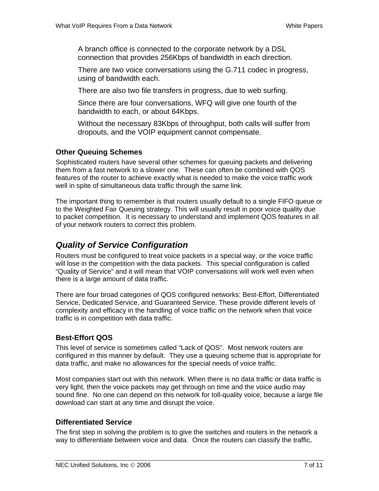A branch office is connected to the corporate network by a DSL connection that provides 256Kbps of bandwidth in each direction.

There are two voice conversations using the G.711 codec in progress, using of bandwidth each.

There are also two file transfers in progress, due to web surfing.

Since there are four conversations, WFQ will give one fourth of the bandwidth to each, or about 64Kbps.

Without the necessary 83Kbps of throughput, both calls will suffer from dropouts, and the VOIP equipment cannot compensate.

#### **Other Queuing Schemes**

Sophisticated routers have several other schemes for queuing packets and delivering them from a fast network to a slower one. These can often be combined with QOS features of the router to achieve exactly what is needed to make the voice traffic work well in spite of simultaneous data traffic through the same link.

The important thing to remember is that routers usually default to a single FIFO queue or to the Weighted Fair Queuing strategy. This will usually result in poor voice quality due to packet competition. It is necessary to understand and implement QOS features in all of your network routers to correct this problem.

## *Quality of Service Configuration*

Routers must be configured to treat voice packets in a special way, or the voice traffic will lose in the competition with the data packets. This special configuration is called "Quality of Service" and it will mean that VOIP conversations will work well even when there is a large amount of data traffic.

There are four broad categories of QOS configured networks: Best-Effort, Differentiated Service, Dedicated Service, and Guaranteed Service. These provide different levels of complexity and efficacy in the handling of voice traffic on the network when that voice traffic is in competition with data traffic.

#### **Best-Effort QOS**

This level of service is sometimes called "Lack of QOS". Most network routers are configured in this manner by default. They use a queuing scheme that is appropriate for data traffic, and make no allowances for the special needs of voice traffic.

Most companies start out with this network. When there is no data traffic or data traffic is very light, then the voice packets may get through on time and the voice audio may sound fine. No one can depend on this network for toll-quality voice, because a large file download can start at any time and disrupt the voice.

#### **Differentiated Service**

The first step in solving the problem is to give the switches and routers in the network a way to differentiate between voice and data. Once the routers can classify the traffic,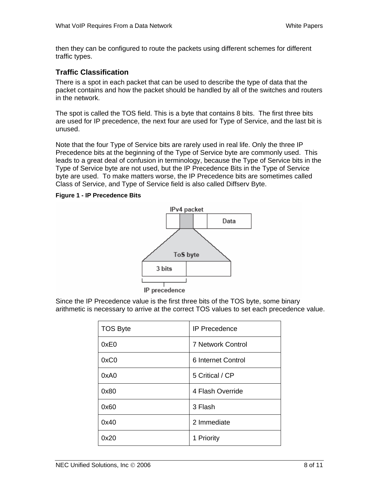then they can be configured to route the packets using different schemes for different traffic types.

#### **Traffic Classification**

There is a spot in each packet that can be used to describe the type of data that the packet contains and how the packet should be handled by all of the switches and routers in the network.

The spot is called the TOS field. This is a byte that contains 8 bits. The first three bits are used for IP precedence, the next four are used for Type of Service, and the last bit is unused.

Note that the four Type of Service bits are rarely used in real life. Only the three IP Precedence bits at the beginning of the Type of Service byte are commonly used. This leads to a great deal of confusion in terminology, because the Type of Service bits in the Type of Service byte are not used, but the IP Precedence Bits in the Type of Service byte are used. To make matters worse, the IP Precedence bits are sometimes called Class of Service, and Type of Service field is also called Diffserv Byte.

#### **Figure 1 - IP Precedence Bits**



Since the IP Precedence value is the first three bits of the TOS byte, some binary arithmetic is necessary to arrive at the correct TOS values to set each precedence value.

| <b>TOS Byte</b> | <b>IP</b> Precedence     |
|-----------------|--------------------------|
| 0xE0            | <b>7 Network Control</b> |
| 0xC0            | 6 Internet Control       |
| 0xA0            | 5 Critical / CP          |
| 0x80            | 4 Flash Override         |
| 0x60            | 3 Flash                  |
| 0x40            | 2 Immediate              |
| 0x20            | 1 Priority               |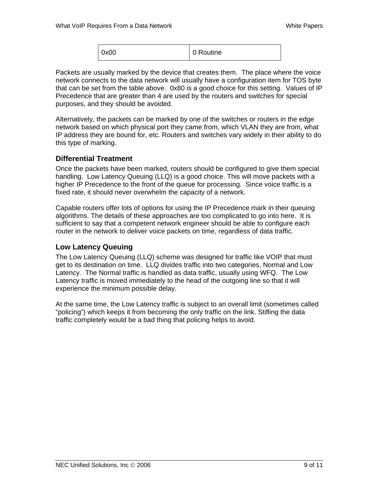| 0x00 | l 0 Routine |
|------|-------------|
|      |             |

Packets are usually marked by the device that creates them. The place where the voice network connects to the data network will usually have a configuration item for TOS byte that can be set from the table above. 0x80 is a good choice for this setting. Values of IP Precedence that are greater than 4 are used by the routers and switches for special purposes, and they should be avoided.

Alternatively, the packets can be marked by one of the switches or routers in the edge network based on which physical port they came from, which VLAN they are from, what IP address they are bound for, etc. Routers and switches vary widely in their ability to do this type of marking.

#### **Differential Treatment**

Once the packets have been marked, routers should be configured to give them special handling. Low Latency Queuing (LLQ) is a good choice. This will move packets with a higher IP Precedence to the front of the queue for processing. Since voice traffic is a fixed rate, it should never overwhelm the capacity of a network.

Capable routers offer lots of options for using the IP Precedence mark in their queuing algorithms. The details of these approaches are too complicated to go into here. It is sufficient to say that a competent network engineer should be able to configure each router in the network to deliver voice packets on time, regardless of data traffic.

#### **Low Latency Queuing**

The Low Latency Queuing (LLQ) scheme was designed for traffic like VOIP that must get to its destination on time. LLQ divides traffic into two categories, Normal and Low Latency. The Normal traffic is handled as data traffic, usually using WFQ. The Low Latency traffic is moved immediately to the head of the outgoing line so that it will experience the minimum possible delay.

At the same time, the Low Latency traffic is subject to an overall limit (sometimes called "policing") which keeps it from becoming the only traffic on the link. Stifling the data traffic completely would be a bad thing that policing helps to avoid.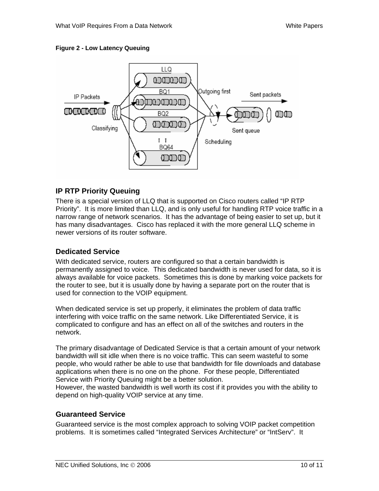#### **Figure 2 - Low Latency Queuing**



#### **IP RTP Priority Queuing**

There is a special version of LLQ that is supported on Cisco routers called "IP RTP Priority". It is more limited than LLQ, and is only useful for handling RTP voice traffic in a narrow range of network scenarios. It has the advantage of being easier to set up, but it has many disadvantages. Cisco has replaced it with the more general LLQ scheme in newer versions of its router software.

#### **Dedicated Service**

With dedicated service, routers are configured so that a certain bandwidth is permanently assigned to voice. This dedicated bandwidth is never used for data, so it is always available for voice packets. Sometimes this is done by marking voice packets for the router to see, but it is usually done by having a separate port on the router that is used for connection to the VOIP equipment.

When dedicated service is set up properly, it eliminates the problem of data traffic interfering with voice traffic on the same network. Like Differentiated Service, it is complicated to configure and has an effect on all of the switches and routers in the network.

The primary disadvantage of Dedicated Service is that a certain amount of your network bandwidth will sit idle when there is no voice traffic. This can seem wasteful to some people, who would rather be able to use that bandwidth for file downloads and database applications when there is no one on the phone. For these people, Differentiated Service with Priority Queuing might be a better solution.

However, the wasted bandwidth is well worth its cost if it provides you with the ability to depend on high-quality VOIP service at any time.

#### **Guaranteed Service**

Guaranteed service is the most complex approach to solving VOIP packet competition problems. It is sometimes called "Integrated Services Architecture" or "IntServ". It